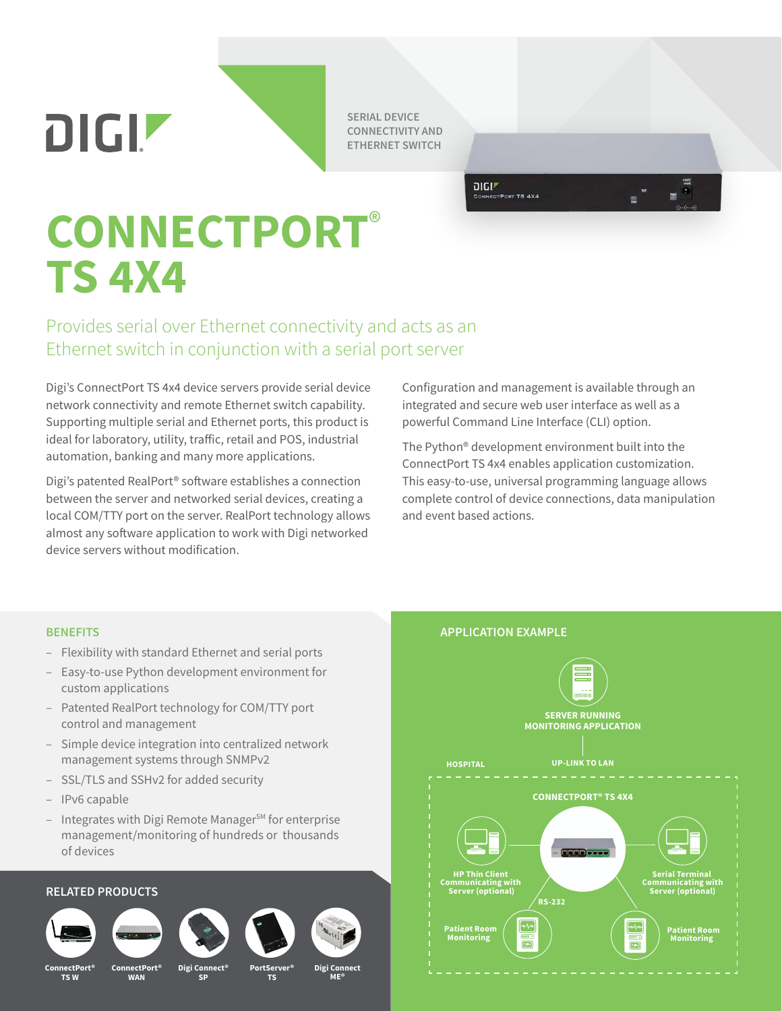**DIGIZ** 

**SERIAL DEVICE CONNECTIVITY AND ETHERNET SWITCH**

> $DIGI<sup>r</sup>$ CONNECTPORT TS 4X4

# **CONNECTPORT**® **TS 4X4**

## Provides serial over Ethernet connectivity and acts as an Ethernet switch in conjunction with a serial port server

Digi's ConnectPort TS 4x4 device servers provide serial device network connectivity and remote Ethernet switch capability. Supporting multiple serial and Ethernet ports, this product is ideal for laboratory, utility, traffic, retail and POS, industrial automation, banking and many more applications.

Digi's patented RealPort® software establishes a connection between the server and networked serial devices, creating a local COM/TTY port on the server. RealPort technology allows almost any software application to work with Digi networked device servers without modification.

Configuration and management is available through an integrated and secure web user interface as well as a powerful Command Line Interface (CLI) option.

The Python® development environment built into the ConnectPort TS 4x4 enables application customization. This easy-to-use, universal programming language allows complete control of device connections, data manipulation and event based actions.

- Flexibility with standard Ethernet and serial ports
- Easy-to-use Python development environment for custom applications
- Patented RealPort technology for COM/TTY port control and management
- Simple device integration into centralized network management systems through SNMPv2
- SSL/TLS and SSHv2 for added security
- IPv6 capable
- $-$  Integrates with Digi Remote Manager<sup>SM</sup> for enterprise management/monitoring of hundreds or thousands of devices

### **RELATED PRODUCTS**



**ConnectPort® TS W**



**ConnectPort® WAN**



**Digi Connect SP**



**TS**



**ME®**



**BENEFITS APPLICATION EXAMPLE**